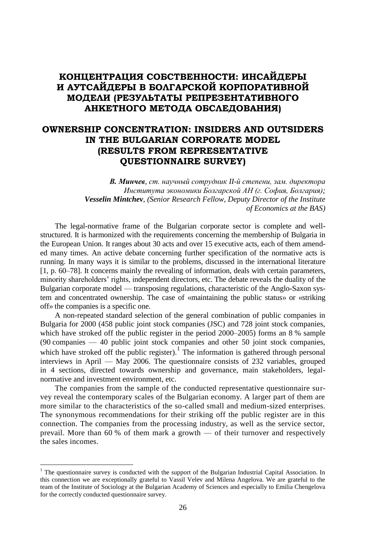# **КОНЦЕНТРАЦИЯ СОБСТВЕННОСТИ: ИНСАЙДЕРЫ И АУТСАЙДЕРЫ В БОЛГАРСКОЙ КОРПОРАТИВНОЙ МОДЕЛИ (РЕЗУЛЬТАТЫ РЕПРЕЗЕНТАТИВНОГО АНКЕТНОГО МЕТОДА ОБСЛЕДОВАНИЯ)**

# **OWNERSHIP CONCENTRATION: INSIDERS AND OUTSIDERS IN THE BULGARIAN CORPORATE MODEL (RESULTS FROM REPRESENTATIVE QUESTIONNAIRE SURVEY)**

*В. Минчев, ст. научный сотрудник II-й степени, зам. директора Института экономики Болгарской АН (г. София, Болгария); Vesselin Mintchev, (Senior Research Fellow, Deputy Director of the Institute of Economics at the BAS)*

The legal-normative frame of the Bulgarian corporate sector is complete and wellstructured. It is harmonized with the requirements concerning the membership of Bulgaria in the European Union. It ranges about 30 acts and over 15 executive acts, each of them amended many times. An active debate concerning further specification of the normative acts is running. In many ways it is similar to the problems, discussed in the international literature [1, p. 60–78]. It concerns mainly the revealing of information, deals with certain parameters, minority shareholders' rights, independent directors, etc. The debate reveals the duality of the Bulgarian corporate model — transposing regulations, characteristic of the Anglo-Saxon system and concentrated ownership. The case of «maintaining the public status» or «striking off» the companies is a specific one.

A non-repeated standard selection of the general combination of public companies in Bulgaria for 2000 (458 public joint stock companies (JSC) and 728 joint stock companies, which have stroked off the public register in the period 2000–2005) forms an 8 % sample (90 companies — 40 public joint stock companies and other 50 joint stock companies, which have stroked off the public register).<sup>1</sup> The information is gathered through personal interviews in April — May 2006. The questionnaire consists of 232 variables, grouped in 4 sections, directed towards ownership and governance, main stakeholders, legalnormative and investment environment, etc.

The companies from the sample of the conducted representative questionnaire survey reveal the contemporary scales of the Bulgarian economy. A larger part of them are more similar to the characteristics of the so-called small and medium-sized enterprises. The synonymous recommendations for their striking off the public register are in this connection. The companies from the processing industry, as well as the service sector, prevail. More than 60 % of them mark a growth — of their turnover and respectively the sales incomes.

 $\overline{a}$ 

<sup>&</sup>lt;sup>1</sup> The questionnaire survey is conducted with the support of the Bulgarian Industrial Capital Association. In this connection we are exceptionally grateful to Vassil Velev and Milena Angelova. We are grateful to the team of the Institute of Sociology at the Bulgarian Academy of Sciences and especially to Emilia Chengelova for the correctly conducted questionnaire survey.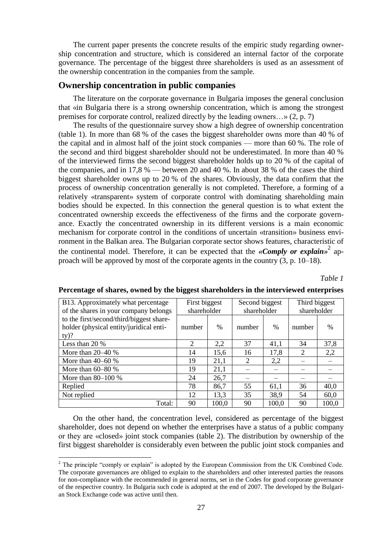The current paper presents the concrete results of the empiric study regarding ownership concentration and structure, which is considered an internal factor of the corporate governance. The percentage of the biggest three shareholders is used as an assessment of the ownership concentration in the companies from the sample.

### **Ownership concentration in public companies**

The literature on the corporate governance in Bulgaria imposes the general conclusion that «in Bulgaria there is a strong ownership concentration, which is among the strongest premises for corporate control, realized directly by the leading owners…» (2, p. 7)

The results of the questionnaire survey show a high degree of ownership concentration (table 1). In more than 68 % of the cases the biggest shareholder owns more than 40 % of the capital and in almost half of the joint stock companies — more than 60 %. The role of the second and third biggest shareholder should not be underestimated. In more than 40 % of the interviewed firms the second biggest shareholder holds up to 20 % of the capital of the companies, and in 17,8 % — between 20 and 40 %. In about 38 % of the cases the third biggest shareholder owns up to 20 % of the shares. Obviously, the data confirm that the process of ownership concentration generally is not completed. Therefore, a forming of a relatively «transparent» system of corporate control with dominating shareholding main bodies should be expected. In this connection the general question is to what extent the concentrated ownership exceeds the effectiveness of the firms and the corporate governance. Exactly the concentrated ownership in its different versions is a main economic mechanism for corporate control in the conditions of uncertain «transition» business environment in the Balkan area. The Bulgarian corporate sector shows features, characteristic of the continental model. Therefore, it can be expected that the *«Comply or explain»* 2 approach will be approved by most of the corporate agents in the country (3, p. 10–18).

*Table 1*

| B13. Approximately what percentage       | First biggest |       | Second biggest |               | Third biggest |       |
|------------------------------------------|---------------|-------|----------------|---------------|---------------|-------|
| of the shares in your company belongs    | shareholder   |       | shareholder    |               | shareholder   |       |
| to the first/second/third/biggest share- |               |       |                |               |               |       |
| holder (physical entity/juridical enti-  | number        | $\%$  | number         | $\frac{0}{0}$ | number        | $\%$  |
| $ty)$ ?                                  |               |       |                |               |               |       |
| Less than 20 %                           | 2             | 2,2   | 37             | 41,1          | 34            | 37,8  |
| More than $20-40%$                       | 14            | 15,6  | 16             | 17,8          | 2             | 2,2   |
| More than $40-60%$                       | 19            | 21,1  | 2              | 2,2           |               |       |
| More than $60-80%$                       | 19            | 21,1  |                |               |               |       |
| More than $80-100\%$                     | 24            | 26,7  |                |               |               |       |
| Replied                                  | 78            | 86,7  | 55             | 61,1          | 36            | 40,0  |
| Not replied                              | 12            | 13,3  | 35             | 38,9          | 54            | 60,0  |
| Total:                                   | 90            | 100,0 | 90             | 100,0         | 90            | 100,0 |

# **Percentage of shares, owned by the biggest shareholders in the interviewed enterprises**

On the other hand, the concentration level, considered as percentage of the biggest shareholder, does not depend on whether the enterprises have a status of a public company or they are «closed» joint stock companies (table 2). The distribution by ownership of the first biggest shareholder is considerably even between the public joint stock companies and

<u>.</u>

<sup>&</sup>lt;sup>2</sup> The principle "comply or explain" is adopted by the European Commission from the UK Combined Code. The corporate governances are obliged to explain to the shareholders and other interested parties the reasons for non-compliance with the recommended in general norms, set in the Codes for good corporate governance of the respective country. In Bulgaria such code is adopted at the end of 2007. The developed by the Bulgarian Stock Exchange code was active until then.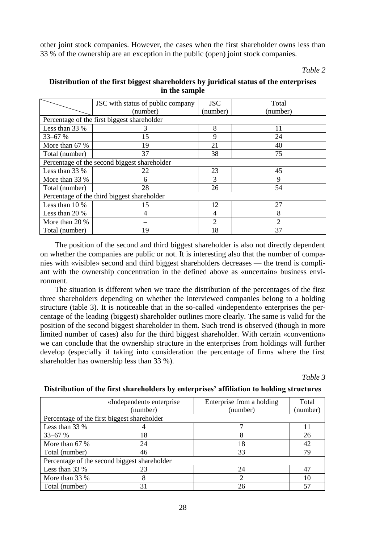other joint stock companies. However, the cases when the first shareholder owns less than 33 % of the ownership are an exception in the public (open) joint stock companies.

*Table 2*

# **Distribution of the first biggest shareholders by juridical status of the enterprises in the sample**

|                                              | JSC with status of public company           | <b>JSC</b>     | Total          |  |  |  |  |
|----------------------------------------------|---------------------------------------------|----------------|----------------|--|--|--|--|
|                                              | (number)                                    | (number)       | (number)       |  |  |  |  |
| Percentage of the first biggest shareholder  |                                             |                |                |  |  |  |  |
| Less than 33 %                               |                                             | 8              | 11             |  |  |  |  |
| $33 - 67%$                                   | 15                                          | 9              | 24             |  |  |  |  |
| More than 67 %                               | 19                                          | 21             | 40             |  |  |  |  |
| Total (number)                               | 37                                          | 38             | 75             |  |  |  |  |
| Percentage of the second biggest shareholder |                                             |                |                |  |  |  |  |
| Less than 33 %                               | 22                                          | 23             | 45             |  |  |  |  |
| More than 33 %                               | 6                                           | 3              | 9              |  |  |  |  |
| Total (number)                               | 28                                          | 26             | 54             |  |  |  |  |
|                                              | Percentage of the third biggest shareholder |                |                |  |  |  |  |
| Less than $10\%$                             | 15                                          | 12             | 27             |  |  |  |  |
| Less than $20\%$                             |                                             |                | 8              |  |  |  |  |
| More than 20 %                               |                                             | $\overline{2}$ | $\overline{c}$ |  |  |  |  |
| Total (number)                               | 19                                          | 18             | 37             |  |  |  |  |

The position of the second and third biggest shareholder is also not directly dependent on whether the companies are public or not. It is interesting also that the number of companies with «visible» second and third biggest shareholders decreases — the trend is compliant with the ownership concentration in the defined above as «uncertain» business environment.

The situation is different when we trace the distribution of the percentages of the first three shareholders depending on whether the interviewed companies belong to a holding structure (table 3). It is noticeable that in the so-called «independent» enterprises the percentage of the leading (biggest) shareholder outlines more clearly. The same is valid for the position of the second biggest shareholder in them. Such trend is observed (though in more limited number of cases) also for the third biggest shareholder. With certain «convention» we can conclude that the ownership structure in the enterprises from holdings will further develop (especially if taking into consideration the percentage of firms where the first shareholder has ownership less than 33 %).

*Table 3*

|                  | «Independent» enterprise                     | Enterprise from a holding | Total    |
|------------------|----------------------------------------------|---------------------------|----------|
|                  | (number)                                     | (number)                  | (number) |
|                  | Percentage of the first biggest shareholder  |                           |          |
| Less than 33 %   |                                              |                           | 11       |
| $33 - 67%$       | 18                                           |                           | 26       |
| More than 67 %   | 24                                           | 18                        | 42       |
| Total (number)   | 46                                           | 33                        | 79       |
|                  | Percentage of the second biggest shareholder |                           |          |
| Less than 33 %   | 23                                           | 24                        | 47       |
| More than $33\%$ | 8                                            | ∍                         | 10       |
| Total (number)   | 31                                           | 26                        | 57       |

# **Distribution of the first shareholders by enterprises' affiliation to holding structures**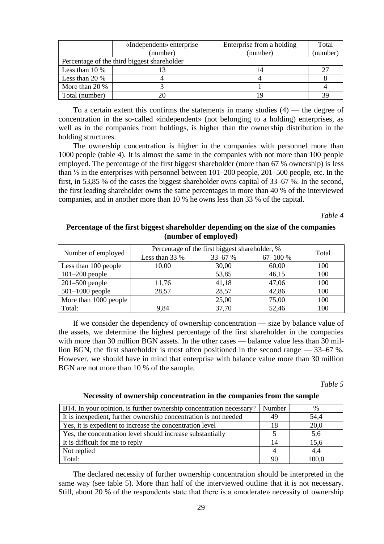|                  | «Independent» enterprise                    | Enterprise from a holding | Total |
|------------------|---------------------------------------------|---------------------------|-------|
|                  | (number)                                    | (number)                  |       |
|                  | Percentage of the third biggest shareholder |                           |       |
| Less than $10\%$ |                                             |                           | 27    |
| Less than $20\%$ |                                             |                           |       |
| More than 20 %   |                                             |                           |       |
| Total (number)   |                                             |                           | 39    |

To a certain extent this confirms the statements in many studies  $(4)$  — the degree of concentration in the so-called «independent» (not belonging to a holding) enterprises, as well as in the companies from holdings, is higher than the ownership distribution in the holding structures.

The ownership concentration is higher in the companies with personnel more than 1000 people (table 4). It is almost the same in the companies with not more than 100 people employed. The percentage of the first biggest shareholder (more than 67 % ownership) is less than  $\frac{1}{2}$  in the enterprises with personnel between 101–200 people, 201–500 people, etc. In the first, in 53,85 % of the cases the biggest shareholder owns capital of 33–67 %. In the second, the first leading shareholder owns the same percentages in more than 40 % of the interviewed companies, and in another more than 10 % he owns less than 33 % of the capital.

*Table 4*

### **Percentage of the first biggest shareholder depending on the size of the companies (number of employed)**

|                       | Percentage of the first biggest shareholder, % | Total |              |     |  |
|-----------------------|------------------------------------------------|-------|--------------|-----|--|
| Number of employed    | $33 - 67$ %<br>Less than 33 %                  |       | $67 - 100 %$ |     |  |
| Less than 100 people  | 10,00                                          | 30,00 | 60,00        | 100 |  |
| $101-200$ people      |                                                | 53,85 | 46,15        | 100 |  |
| $201-500$ people      | 11,76                                          | 41,18 | 47,06        | 100 |  |
| $501-1000$ people     | 28,57                                          | 28,57 | 42,86        | 100 |  |
| More than 1000 people |                                                | 25,00 | 75,00        | 100 |  |
| Total:                | 9.84                                           | 37,70 | 52,46        | 100 |  |

If we consider the dependency of ownership concentration — size by balance value of the assets, we determine the highest percentage of the first shareholder in the companies with more than 30 million BGN assets. In the other cases — balance value less than 30 million BGN, the first shareholder is most often positioned in the second range — 33–67 %. However, we should have in mind that enterprise with balance value more than 30 million BGN are not more than 10 % of the sample.

*Table 5*

#### **Necessity of ownership concentration in the companies from the sample**

| B14. In your opinion, is further ownership concentration necessary? | Number | %     |
|---------------------------------------------------------------------|--------|-------|
| It is inexpedient, further ownership concentration is not needed    | 49     | 54,4  |
| Yes, it is expedient to increase the concentration level            | 18     | 20,0  |
| Yes, the concentration level should increase substantially          |        | 5,6   |
| It is difficult for me to reply                                     | 14     | 15,6  |
| Not replied                                                         |        | 4,4   |
| Total:                                                              | 90     | 100.0 |

The declared necessity of further ownership concentration should be interpreted in the same way (see table 5). More than half of the interviewed outline that it is not necessary. Still, about 20 % of the respondents state that there is a «moderate» necessity of ownership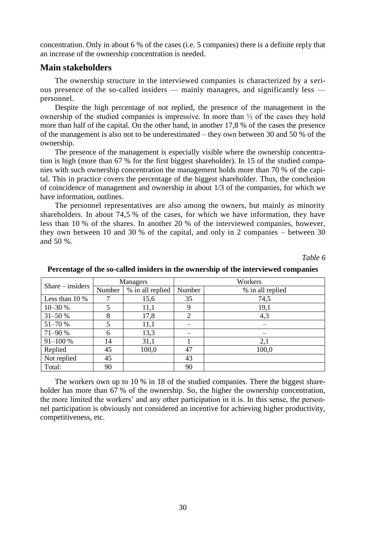concentration. Only in about 6 % of the cases (i.e. 5 companies) there is a definite reply that an increase of the ownership concentration is needed.

#### **Main stakeholders**

The ownership structure in the interviewed companies is characterized by a serious presence of the so-called insiders — mainly managers, and significantly less personnel.

Despite the high percentage of not replied, the presence of the management in the ownership of the studied companies is impressive. In more than ½ of the cases they hold more than half of the capital. On the other hand, in another 17,8 % of the cases the presence of the management is also not to be underestimated – they own between 30 and 50 % of the ownership.

The presence of the management is especially visible where the ownership concentration is high (more than 67 % for the first biggest shareholder). In 15 of the studied companies with such ownership concentration the management holds more than 70 % of the capital. This in practice covers the percentage of the biggest shareholder. Thus, the conclusion of coincidence of management and ownership in about 1/3 of the companies, for which we have information, outlines.

The personnel representatives are also among the owners, but mainly as minority shareholders. In about 74,5 % of the cases, for which we have information, they have less than 10 % of the shares. In another 20 % of the interviewed companies, however, they own between 10 and 30 % of the capital, and only in 2 companies – between 30 and 50 %.

*Table 6*

| $Share - insiders$ |        | Managers         | Workers |                  |  |  |
|--------------------|--------|------------------|---------|------------------|--|--|
|                    | Number | % in all replied | Number  | % in all replied |  |  |
| Less than $10\%$   |        | 15,6             | 35      | 74,5             |  |  |
| 10-30 %            |        | 11,1             | 9       | 19,1             |  |  |
| $31 - 50%$         | 8      | 17,8             | 2       | 4,3              |  |  |
| 51-70 %            |        | 11,1             |         |                  |  |  |
| 71-90 %            | 6      | 13,3             |         |                  |  |  |
| $91 - 100 %$       | 14     | 31,1             |         | 2,1              |  |  |
| Replied            | 45     | 100,0            | 47      | 100,0            |  |  |
| Not replied        | 45     |                  | 43      |                  |  |  |
| Total:             | 90     |                  | 90      |                  |  |  |

**Percentage of the so-called insiders in the ownership of the interviewed companies**

The workers own up to 10 % in 18 of the studied companies. There the biggest shareholder has more than 67 % of the ownership. So, the higher the ownership concentration, the more limited the workers' and any other participation in it is. In this sense, the personnel participation is obviously not considered an incentive for achieving higher productivity, competitiveness, etc.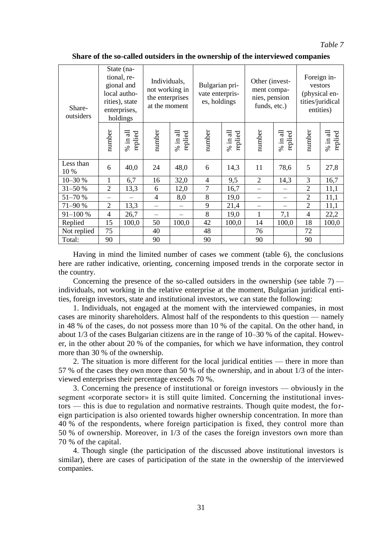#### *Table 7*

| Share-<br>outsiders |                | State (na-<br>tional, re-<br>gional and<br>local autho-<br>rities), state<br>enterprises,<br>holdings | Individuals,<br>not working in<br>the enterprises<br>at the moment |                        | Bulgarian pri-<br>vate enterpris-<br>es, holdings |                        |                | Other (invest-<br>ment compa-<br>nies, pension<br>funds, etc.) |                | Foreign in-<br>vestors<br>(physical en-<br>tities/juridical<br>entities) |  |
|---------------------|----------------|-------------------------------------------------------------------------------------------------------|--------------------------------------------------------------------|------------------------|---------------------------------------------------|------------------------|----------------|----------------------------------------------------------------|----------------|--------------------------------------------------------------------------|--|
|                     | number         | $\%$ in all<br>replied                                                                                | number                                                             | 급<br>replied<br>$%$ in | number                                            | 급<br>replied<br>$%$ in | number         | $%$ in all<br>replied                                          | number         | $\%$ in all<br>replied                                                   |  |
| Less than<br>10 %   | 6              | 40,0                                                                                                  | 24                                                                 | 48,0                   | 6                                                 | 14,3                   | 11             | 78,6                                                           | 5              | 27,8                                                                     |  |
| 10-30 %             | 1              | 6,7                                                                                                   | 16                                                                 | 32,0                   | 4                                                 | 9,5                    | $\overline{2}$ | 14,3                                                           | 3              | 16,7                                                                     |  |
| 31-50 %             | $\overline{2}$ | 13,3                                                                                                  | 6                                                                  | 12,0                   | $\overline{7}$                                    | 16,7                   |                | $\overline{\phantom{0}}$                                       | $\overline{2}$ | 11,1                                                                     |  |
| 51-70 %             |                |                                                                                                       | $\overline{4}$                                                     | 8,0                    | 8                                                 | 19,0                   |                | —                                                              | $\overline{2}$ | 11,1                                                                     |  |
| 71-90 %             | 2              | 13,3                                                                                                  |                                                                    |                        | 9                                                 | 21,4                   |                | —                                                              | $\overline{2}$ | 11,1                                                                     |  |
| $91 - 100 %$        | $\overline{4}$ | 26,7                                                                                                  |                                                                    |                        | 8                                                 | 19,0                   | 1              | 7,1                                                            | 4              | 22,2                                                                     |  |
| Replied             | 15             | 100,0                                                                                                 | 50                                                                 | 100,0                  | 42                                                | 100,0                  | 14             | 100,0                                                          | 18             | 100,0                                                                    |  |
| Not replied         | 75             |                                                                                                       | 40                                                                 |                        | 48                                                |                        | 76             |                                                                | 72             |                                                                          |  |
| Total:              | 90             |                                                                                                       | 90                                                                 |                        | 90                                                |                        | 90             |                                                                | 90             |                                                                          |  |

**Share of the so-called outsiders in the ownership of the interviewed companies**

Having in mind the limited number of cases we comment (table 6), the conclusions here are rather indicative, orienting, concerning imposed trends in the corporate sector in the country.

Concerning the presence of the so-called outsiders in the ownership (see table  $7$ ) individuals, not working in the relative enterprise at the moment, Bulgarian juridical entities, foreign investors, state and institutional investors, we can state the following:

1. Individuals, not engaged at the moment with the interviewed companies, in most cases are minority shareholders. Almost half of the respondents to this question — namely in 48 % of the cases, do not possess more than 10 % of the capital. On the other hand, in about 1/3 of the cases Bulgarian citizens are in the range of 10–30 % of the capital. However, in the other about 20 % of the companies, for which we have information, they control more than 30 % of the ownership.

2. The situation is more different for the local juridical entities — there in more than 57 % of the cases they own more than 50 % of the ownership, and in about 1/3 of the interviewed enterprises their percentage exceeds 70 %.

3. Concerning the presence of institutional or foreign investors — obviously in the segment «corporate sector» it is still quite limited. Concerning the institutional investors — this is due to regulation and normative restraints. Though quite modest, the foreign participation is also oriented towards higher ownership concentration. In more than 40 % of the respondents, where foreign participation is fixed, they control more than 50 % of ownership. Moreover, in 1/3 of the cases the foreign investors own more than 70 % of the capital.

4. Though single (the participation of the discussed above institutional investors is similar), there are cases of participation of the state in the ownership of the interviewed companies.